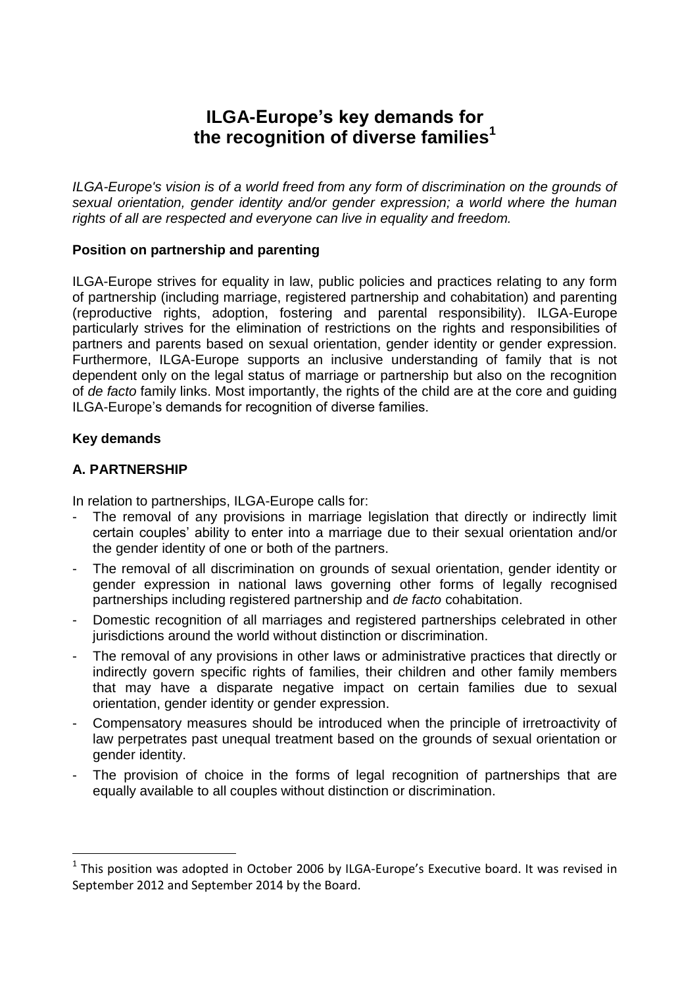# **ILGA-Europe's key demands for the recognition of diverse families<sup>1</sup>**

*ILGA-Europe's vision is of a world freed from any form of discrimination on the grounds of sexual orientation, gender identity and/or gender expression; a world where the human rights of all are respected and everyone can live in equality and freedom.* 

# **Position on partnership and parenting**

ILGA-Europe strives for equality in law, public policies and practices relating to any form of partnership (including marriage, registered partnership and cohabitation) and parenting (reproductive rights, adoption, fostering and parental responsibility). ILGA-Europe particularly strives for the elimination of restrictions on the rights and responsibilities of partners and parents based on sexual orientation, gender identity or gender expression. Furthermore, ILGA-Europe supports an inclusive understanding of family that is not dependent only on the legal status of marriage or partnership but also on the recognition of *de facto* family links. Most importantly, the rights of the child are at the core and guiding ILGA-Europe's demands for recognition of diverse families.

### **Key demands**

 $\overline{a}$ 

### **A. PARTNERSHIP**

In relation to partnerships, ILGA-Europe calls for:

- The removal of any provisions in marriage legislation that directly or indirectly limit certain couples' ability to enter into a marriage due to their sexual orientation and/or the gender identity of one or both of the partners.
- The removal of all discrimination on grounds of sexual orientation, gender identity or gender expression in national laws governing other forms of legally recognised partnerships including registered partnership and *de facto* cohabitation.
- Domestic recognition of all marriages and registered partnerships celebrated in other jurisdictions around the world without distinction or discrimination.
- The removal of any provisions in other laws or administrative practices that directly or indirectly govern specific rights of families, their children and other family members that may have a disparate negative impact on certain families due to sexual orientation, gender identity or gender expression.
- Compensatory measures should be introduced when the principle of irretroactivity of law perpetrates past unequal treatment based on the grounds of sexual orientation or gender identity.
- The provision of choice in the forms of legal recognition of partnerships that are equally available to all couples without distinction or discrimination.

 $<sup>1</sup>$  This position was adopted in October 2006 by ILGA-Europe's Executive board. It was revised in</sup> September 2012 and September 2014 by the Board.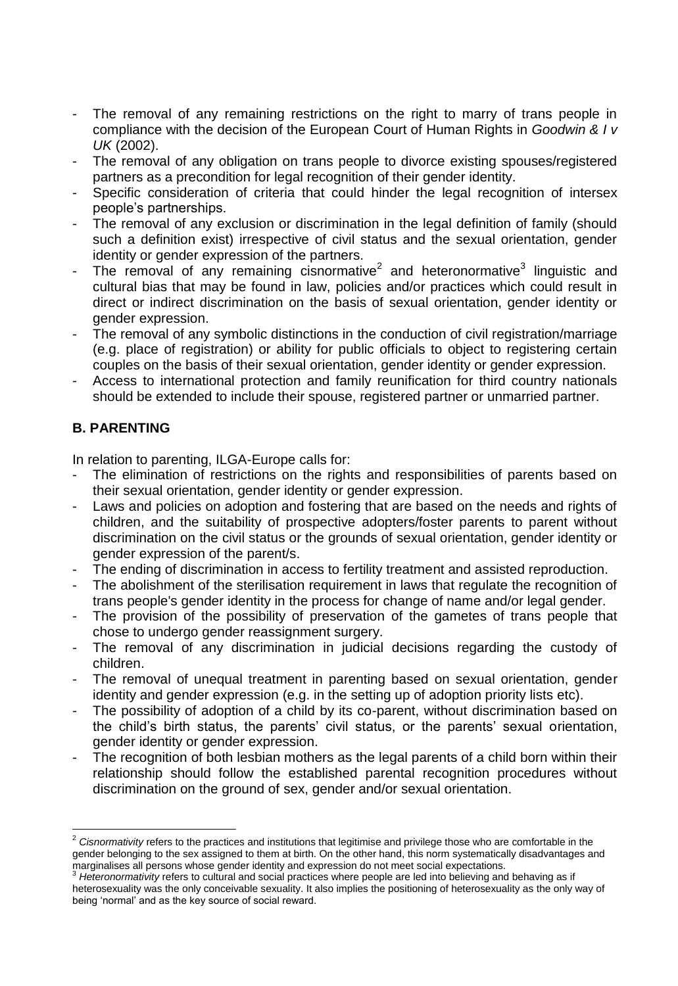- The removal of any remaining restrictions on the right to marry of trans people in compliance with the decision of the European Court of Human Rights in *Goodwin & I v UK* (2002).
- The removal of any obligation on trans people to divorce existing spouses/registered partners as a precondition for legal recognition of their gender identity.
- Specific consideration of criteria that could hinder the legal recognition of intersex people's partnerships.
- The removal of any exclusion or discrimination in the legal definition of family (should such a definition exist) irrespective of civil status and the sexual orientation, gender identity or gender expression of the partners.
- The removal of any remaining cisnormative<sup>2</sup> and heteronormative<sup>3</sup> linguistic and cultural bias that may be found in law, policies and/or practices which could result in direct or indirect discrimination on the basis of sexual orientation, gender identity or gender expression.
- The removal of any symbolic distinctions in the conduction of civil registration/marriage (e.g. place of registration) or ability for public officials to object to registering certain couples on the basis of their sexual orientation, gender identity or gender expression.
- Access to international protection and family reunification for third country nationals should be extended to include their spouse, registered partner or unmarried partner.

# **B. PARENTING**

 $\overline{a}$ 

In relation to parenting, ILGA-Europe calls for:

- The elimination of restrictions on the rights and responsibilities of parents based on their sexual orientation, gender identity or gender expression.
- Laws and policies on adoption and fostering that are based on the needs and rights of children, and the suitability of prospective adopters/foster parents to parent without discrimination on the civil status or the grounds of sexual orientation, gender identity or gender expression of the parent/s.
- The ending of discrimination in access to fertility treatment and assisted reproduction.
- The abolishment of the sterilisation requirement in laws that regulate the recognition of trans people's gender identity in the process for change of name and/or legal gender.
- The provision of the possibility of preservation of the gametes of trans people that chose to undergo gender reassignment surgery.
- The removal of any discrimination in judicial decisions regarding the custody of children.
- The removal of unequal treatment in parenting based on sexual orientation, gender identity and gender expression (e.g. in the setting up of adoption priority lists etc).
- The possibility of adoption of a child by its co-parent, without discrimination based on the child's birth status, the parents' civil status, or the parents' sexual orientation, gender identity or gender expression.
- The recognition of both lesbian mothers as the legal parents of a child born within their relationship should follow the established parental recognition procedures without discrimination on the ground of sex, gender and/or sexual orientation.

<sup>&</sup>lt;sup>2</sup> Cisnormativity refers to the practices and institutions that legitimise and privilege those who are comfortable in the gender belonging to the sex assigned to them at birth. On the other hand, this norm systematically disadvantages and marginalises all persons whose gender identity and expression do not meet social expectations.

<sup>3</sup> *Heteronormativity* refers to cultural and social practices where people are led into believing and behaving as if heterosexuality was the only conceivable sexuality. It also implies the positioning of heterosexuality as the only way of being 'normal' and as the key source of social reward.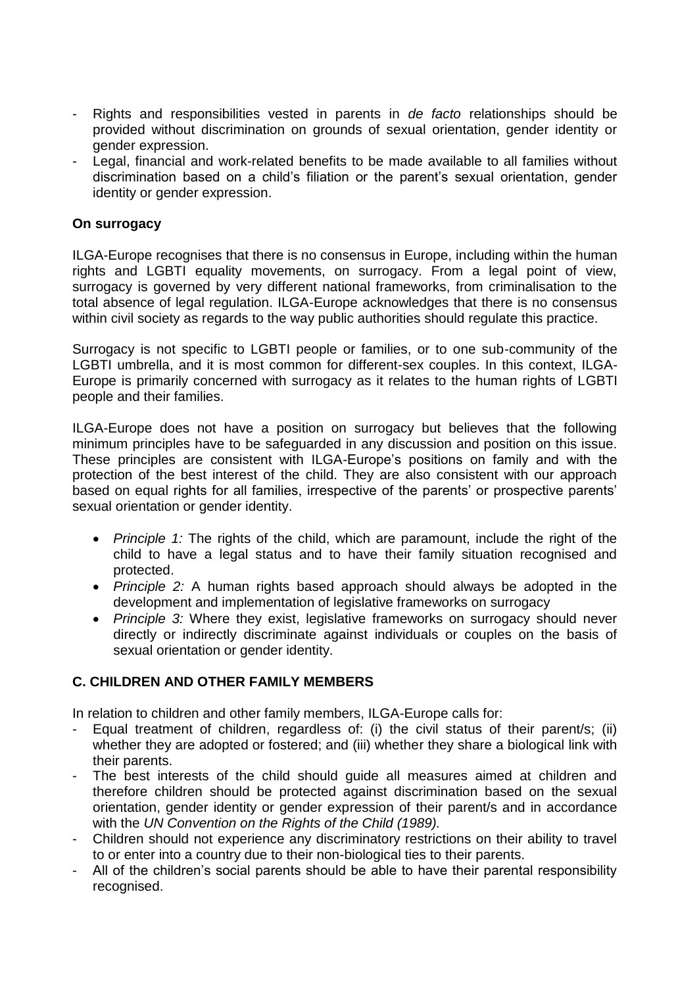- Rights and responsibilities vested in parents in *de facto* relationships should be provided without discrimination on grounds of sexual orientation, gender identity or gender expression.
- Legal, financial and work-related benefits to be made available to all families without discrimination based on a child's filiation or the parent's sexual orientation, gender identity or gender expression.

# **On surrogacy**

ILGA-Europe recognises that there is no consensus in Europe, including within the human rights and LGBTI equality movements, on surrogacy. From a legal point of view, surrogacy is governed by very different national frameworks, from criminalisation to the total absence of legal regulation. ILGA-Europe acknowledges that there is no consensus within civil society as regards to the way public authorities should regulate this practice.

Surrogacy is not specific to LGBTI people or families, or to one sub-community of the LGBTI umbrella, and it is most common for different-sex couples. In this context, ILGA-Europe is primarily concerned with surrogacy as it relates to the human rights of LGBTI people and their families.

ILGA-Europe does not have a position on surrogacy but believes that the following minimum principles have to be safeguarded in any discussion and position on this issue. These principles are consistent with ILGA-Europe's positions on family and with the protection of the best interest of the child. They are also consistent with our approach based on equal rights for all families, irrespective of the parents' or prospective parents' sexual orientation or gender identity.

- *Principle 1:* The rights of the child, which are paramount, include the right of the child to have a legal status and to have their family situation recognised and protected.
- *Principle 2:* A human rights based approach should always be adopted in the development and implementation of legislative frameworks on surrogacy
- *Principle 3:* Where they exist, legislative frameworks on surrogacy should never directly or indirectly discriminate against individuals or couples on the basis of sexual orientation or gender identity.

# **C. CHILDREN AND OTHER FAMILY MEMBERS**

In relation to children and other family members, ILGA-Europe calls for:

- Equal treatment of children, regardless of: (i) the civil status of their parent/s; (ii) whether they are adopted or fostered; and (iii) whether they share a biological link with their parents.
- The best interests of the child should guide all measures aimed at children and therefore children should be protected against discrimination based on the sexual orientation, gender identity or gender expression of their parent/s and in accordance with the *UN Convention on the Rights of the Child (1989).*
- Children should not experience any discriminatory restrictions on their ability to travel to or enter into a country due to their non-biological ties to their parents.
- All of the children's social parents should be able to have their parental responsibility recognised.